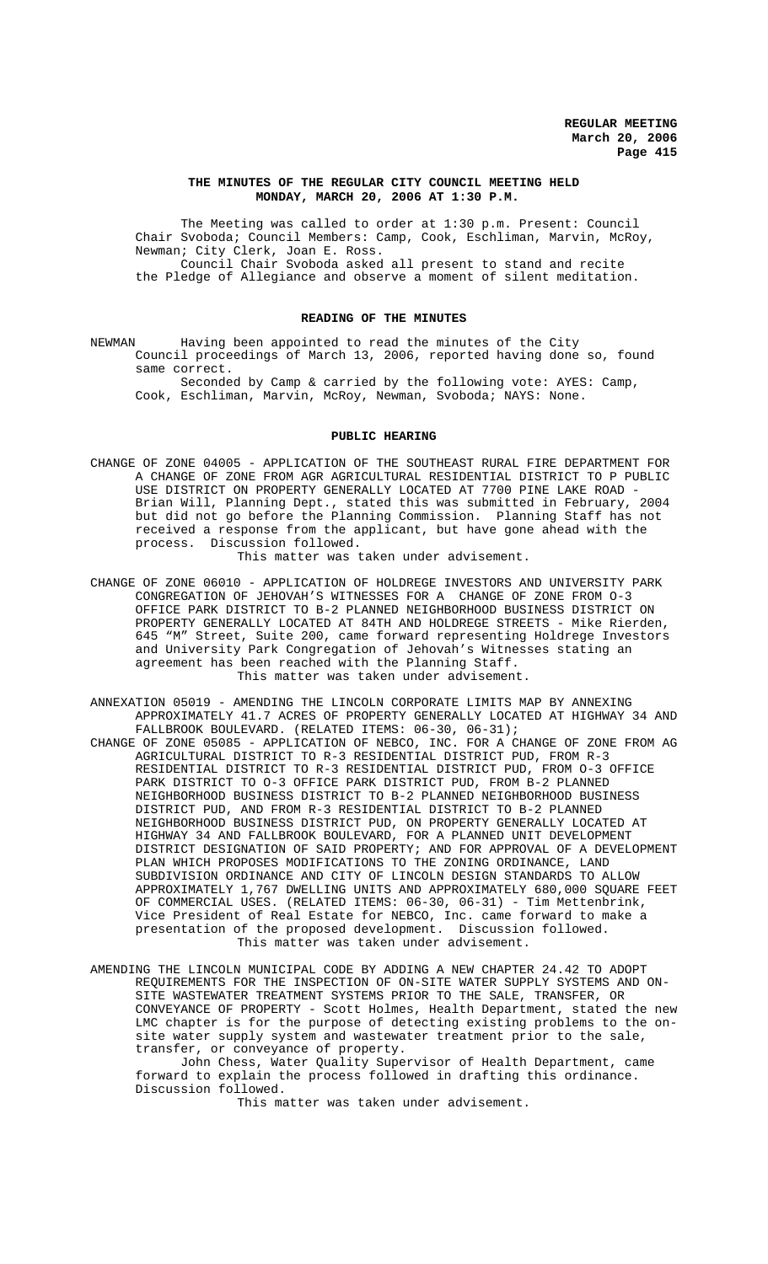#### **THE MINUTES OF THE REGULAR CITY COUNCIL MEETING HELD MONDAY, MARCH 20, 2006 AT 1:30 P.M.**

The Meeting was called to order at 1:30 p.m. Present: Council Chair Svoboda; Council Members: Camp, Cook, Eschliman, Marvin, McRoy, Newman; City Clerk, Joan E. Ross. Council Chair Svoboda asked all present to stand and recite the Pledge of Allegiance and observe a moment of silent meditation.

## **READING OF THE MINUTES**

NEWMAN Having been appointed to read the minutes of the City Council proceedings of March 13, 2006, reported having done so, found same correct.

Seconded by Camp & carried by the following vote: AYES: Camp, Cook, Eschliman, Marvin, McRoy, Newman, Svoboda; NAYS: None.

#### **PUBLIC HEARING**

- CHANGE OF ZONE 04005 APPLICATION OF THE SOUTHEAST RURAL FIRE DEPARTMENT FOR A CHANGE OF ZONE FROM AGR AGRICULTURAL RESIDENTIAL DISTRICT TO P PUBLIC USE DISTRICT ON PROPERTY GENERALLY LOCATED AT 7700 PINE LAKE ROAD - Brian Will, Planning Dept., stated this was submitted in February, 2004 but did not go before the Planning Commission. Planning Staff has not received a response from the applicant, but have gone ahead with the process. Discussion followed. This matter was taken under advisement.
- CHANGE OF ZONE 06010 APPLICATION OF HOLDREGE INVESTORS AND UNIVERSITY PARK CONGREGATION OF JEHOVAH'S WITNESSES FOR A CHANGE OF ZONE FROM O-3 OFFICE PARK DISTRICT TO B-2 PLANNED NEIGHBORHOOD BUSINESS DISTRICT ON PROPERTY GENERALLY LOCATED AT 84TH AND HOLDREGE STREETS - Mike Rierden, 645 "M" Street, Suite 200, came forward representing Holdrege Investors and University Park Congregation of Jehovah's Witnesses stating an agreement has been reached with the Planning Staff. This matter was taken under advisement.
- ANNEXATION 05019 AMENDING THE LINCOLN CORPORATE LIMITS MAP BY ANNEXING APPROXIMATELY 41.7 ACRES OF PROPERTY GENERALLY LOCATED AT HIGHWAY 34 AND FALLBROOK BOULEVARD. (RELATED ITEMS: 06-30, 06-31);
- CHANGE OF ZONE 05085 APPLICATION OF NEBCO, INC. FOR A CHANGE OF ZONE FROM AG AGRICULTURAL DISTRICT TO R-3 RESIDENTIAL DISTRICT PUD, FROM R-3 RESIDENTIAL DISTRICT TO R-3 RESIDENTIAL DISTRICT PUD, FROM O-3 OFFICE PARK DISTRICT TO O-3 OFFICE PARK DISTRICT PUD, FROM B-2 PLANNED NEIGHBORHOOD BUSINESS DISTRICT TO B-2 PLANNED NEIGHBORHOOD BUSINESS DISTRICT PUD, AND FROM R-3 RESIDENTIAL DISTRICT TO B-2 PLANNED NEIGHBORHOOD BUSINESS DISTRICT PUD, ON PROPERTY GENERALLY LOCATED AT HIGHWAY 34 AND FALLBROOK BOULEVARD, FOR A PLANNED UNIT DEVELOPMENT DISTRICT DESIGNATION OF SAID PROPERTY; AND FOR APPROVAL OF A DEVELOPMENT PLAN WHICH PROPOSES MODIFICATIONS TO THE ZONING ORDINANCE, LAND SUBDIVISION ORDINANCE AND CITY OF LINCOLN DESIGN STANDARDS TO ALLOW APPROXIMATELY 1,767 DWELLING UNITS AND APPROXIMATELY 680,000 SQUARE FEET OF COMMERCIAL USES. (RELATED ITEMS: 06-30, 06-31) - Tim Mettenbrink, Vice President of Real Estate for NEBCO, Inc. came forward to make a presentation of the proposed development. Discussion followed. This matter was taken under advisement.
- AMENDING THE LINCOLN MUNICIPAL CODE BY ADDING A NEW CHAPTER 24.42 TO ADOPT REQUIREMENTS FOR THE INSPECTION OF ON-SITE WATER SUPPLY SYSTEMS AND ON-SITE WASTEWATER TREATMENT SYSTEMS PRIOR TO THE SALE, TRANSFER, OR CONVEYANCE OF PROPERTY - Scott Holmes, Health Department, stated the new LMC chapter is for the purpose of detecting existing problems to the onsite water supply system and wastewater treatment prior to the sale, transfer, or conveyance of property.

John Chess, Water Quality Supervisor of Health Department, came forward to explain the process followed in drafting this ordinance. Discussion followed.

This matter was taken under advisement.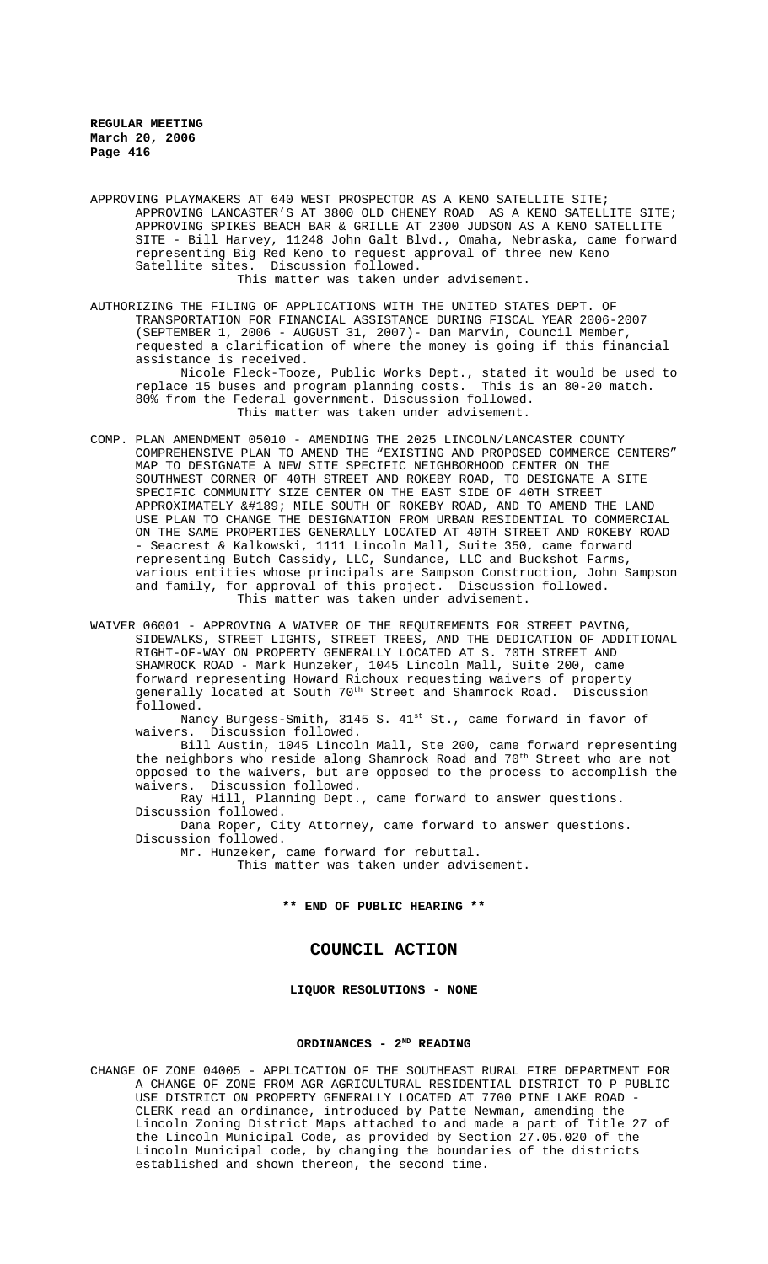APPROVING PLAYMAKERS AT 640 WEST PROSPECTOR AS A KENO SATELLITE SITE; APPROVING LANCASTER'S AT 3800 OLD CHENEY ROAD AS A KENO SATELLITE SITE; APPROVING SPIKES BEACH BAR & GRILLE AT 2300 JUDSON AS A KENO SATELLITE SITE - Bill Harvey, 11248 John Galt Blvd., Omaha, Nebraska, came forward representing Big Red Keno to request approval of three new Keno Satellite sites. Discussion followed. This matter was taken under advisement.

AUTHORIZING THE FILING OF APPLICATIONS WITH THE UNITED STATES DEPT. OF TRANSPORTATION FOR FINANCIAL ASSISTANCE DURING FISCAL YEAR 2006-2007 (SEPTEMBER 1, 2006 - AUGUST 31, 2007)- Dan Marvin, Council Member, requested a clarification of where the money is going if this financial assistance is received.

Nicole Fleck-Tooze, Public Works Dept., stated it would be used to replace 15 buses and program planning costs. This is an 80-20 match. 80% from the Federal government. Discussion followed. This matter was taken under advisement.

- COMP. PLAN AMENDMENT 05010 AMENDING THE 2025 LINCOLN/LANCASTER COUNTY COMPREHENSIVE PLAN TO AMEND THE "EXISTING AND PROPOSED COMMERCE CENTERS" MAP TO DESIGNATE A NEW SITE SPECIFIC NEIGHBORHOOD CENTER ON THE SOUTHWEST CORNER OF 40TH STREET AND ROKEBY ROAD, TO DESIGNATE A SITE SPECIFIC COMMUNITY SIZE CENTER ON THE EAST SIDE OF 40TH STREET APPROXIMATELY ½ MILE SOUTH OF ROKEBY ROAD, AND TO AMEND THE LAND USE PLAN TO CHANGE THE DESIGNATION FROM URBAN RESIDENTIAL TO COMMERCIAL ON THE SAME PROPERTIES GENERALLY LOCATED AT 40TH STREET AND ROKEBY ROAD - Seacrest & Kalkowski, 1111 Lincoln Mall, Suite 350, came forward representing Butch Cassidy, LLC, Sundance, LLC and Buckshot Farms, various entities whose principals are Sampson Construction, John Sampson and family, for approval of this project. Discussion followed. This matter was taken under advisement.
- WAIVER 06001 APPROVING A WAIVER OF THE REQUIREMENTS FOR STREET PAVING, SIDEWALKS, STREET LIGHTS, STREET TREES, AND THE DEDICATION OF ADDITIONAL RIGHT-OF-WAY ON PROPERTY GENERALLY LOCATED AT S. 70TH STREET AND SHAMROCK ROAD - Mark Hunzeker, 1045 Lincoln Mall, Suite 200, came forward representing Howard Richoux requesting waivers of property generally located at South 70<sup>th</sup> Street and Shamrock Road. Discussion followed.

Nancy Burgess-Smith, 3145 S. 41st St., came forward in favor of waivers. Discussion followed.

Bill Austin, 1045 Lincoln Mall, Ste 200, came forward representing the neighbors who reside along Shamrock Road and 70<sup>th</sup> Street who are not opposed to the waivers, but are opposed to the process to accomplish the waivers. Discussion followed.

Ray Hill, Planning Dept., came forward to answer questions. Discussion followed.

Dana Roper, City Attorney, came forward to answer questions. Discussion followed.

Mr. Hunzeker, came forward for rebuttal.

This matter was taken under advisement.

**\*\* END OF PUBLIC HEARING \*\***

# **COUNCIL ACTION**

**LIQUOR RESOLUTIONS - NONE**

## ORDINANCES - 2<sup>ND</sup> READING

CHANGE OF ZONE 04005 - APPLICATION OF THE SOUTHEAST RURAL FIRE DEPARTMENT FOR A CHANGE OF ZONE FROM AGR AGRICULTURAL RESIDENTIAL DISTRICT TO P PUBLIC USE DISTRICT ON PROPERTY GENERALLY LOCATED AT 7700 PINE LAKE ROAD - CLERK read an ordinance, introduced by Patte Newman, amending the Lincoln Zoning District Maps attached to and made a part of Title 27 of the Lincoln Municipal Code, as provided by Section 27.05.020 of the Lincoln Municipal code, by changing the boundaries of the districts established and shown thereon, the second time.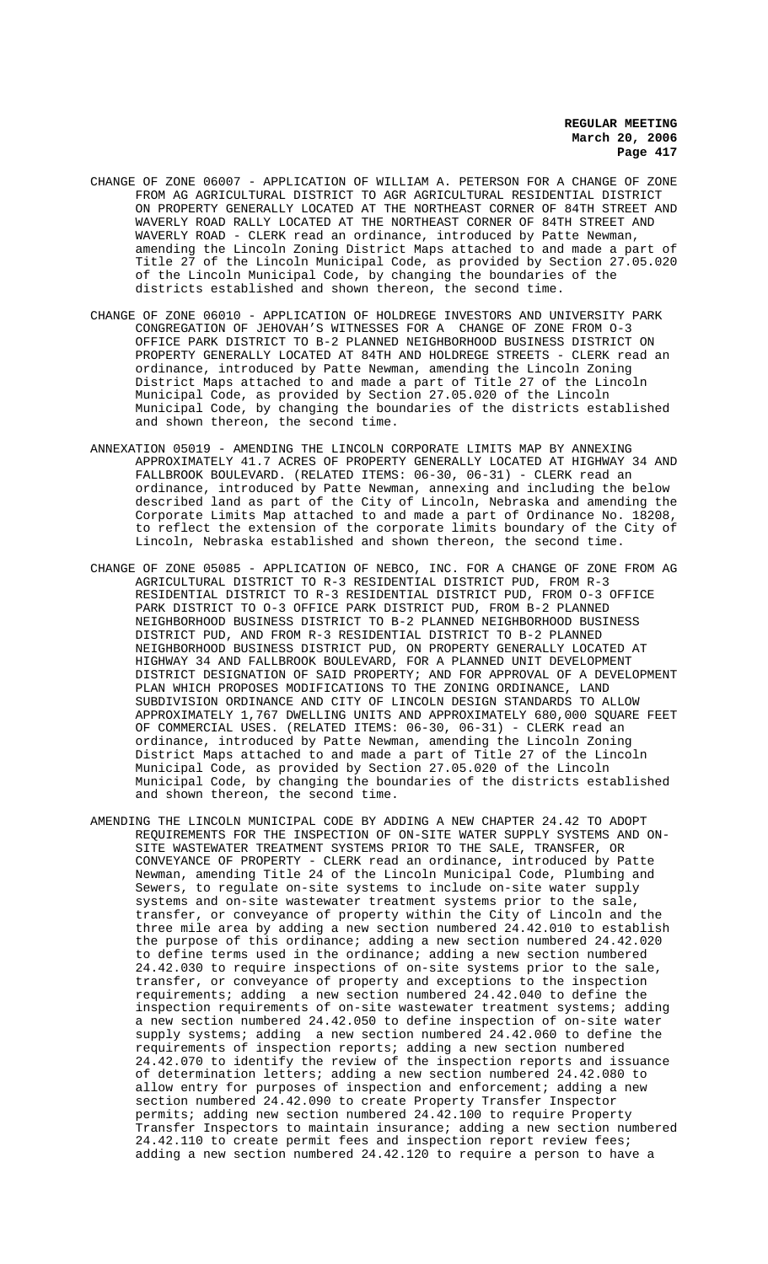- CHANGE OF ZONE 06007 APPLICATION OF WILLIAM A. PETERSON FOR A CHANGE OF ZONE FROM AG AGRICULTURAL DISTRICT TO AGR AGRICULTURAL RESIDENTIAL DISTRICT ON PROPERTY GENERALLY LOCATED AT THE NORTHEAST CORNER OF 84TH STREET AND WAVERLY ROAD RALLY LOCATED AT THE NORTHEAST CORNER OF 84TH STREET AND WAVERLY ROAD - CLERK read an ordinance, introduced by Patte Newman, amending the Lincoln Zoning District Maps attached to and made a part of Title 27 of the Lincoln Municipal Code, as provided by Section 27.05.020 of the Lincoln Municipal Code, by changing the boundaries of the districts established and shown thereon, the second time.
- CHANGE OF ZONE 06010 APPLICATION OF HOLDREGE INVESTORS AND UNIVERSITY PARK CONGREGATION OF JEHOVAH'S WITNESSES FOR A CHANGE OF ZONE FROM O-3 OFFICE PARK DISTRICT TO B-2 PLANNED NEIGHBORHOOD BUSINESS DISTRICT ON PROPERTY GENERALLY LOCATED AT 84TH AND HOLDREGE STREETS - CLERK read an ordinance, introduced by Patte Newman, amending the Lincoln Zoning District Maps attached to and made a part of Title 27 of the Lincoln Municipal Code, as provided by Section 27.05.020 of the Lincoln Municipal Code, by changing the boundaries of the districts established and shown thereon, the second time.
- ANNEXATION 05019 AMENDING THE LINCOLN CORPORATE LIMITS MAP BY ANNEXING APPROXIMATELY 41.7 ACRES OF PROPERTY GENERALLY LOCATED AT HIGHWAY 34 AND FALLBROOK BOULEVARD. (RELATED ITEMS: 06-30, 06-31) - CLERK read an ordinance, introduced by Patte Newman, annexing and including the below described land as part of the City of Lincoln, Nebraska and amending the Corporate Limits Map attached to and made a part of Ordinance No. 18208, to reflect the extension of the corporate limits boundary of the City of Lincoln, Nebraska established and shown thereon, the second time.
- CHANGE OF ZONE 05085 APPLICATION OF NEBCO, INC. FOR A CHANGE OF ZONE FROM AG AGRICULTURAL DISTRICT TO R-3 RESIDENTIAL DISTRICT PUD, FROM R-3 RESIDENTIAL DISTRICT TO R-3 RESIDENTIAL DISTRICT PUD, FROM O-3 OFFICE PARK DISTRICT TO O-3 OFFICE PARK DISTRICT PUD, FROM B-2 PLANNED NEIGHBORHOOD BUSINESS DISTRICT TO B-2 PLANNED NEIGHBORHOOD BUSINESS DISTRICT PUD, AND FROM R-3 RESIDENTIAL DISTRICT TO B-2 PLANNED NEIGHBORHOOD BUSINESS DISTRICT PUD, ON PROPERTY GENERALLY LOCATED AT HIGHWAY 34 AND FALLBROOK BOULEVARD, FOR A PLANNED UNIT DEVELOPMENT DISTRICT DESIGNATION OF SAID PROPERTY; AND FOR APPROVAL OF A DEVELOPMENT PLAN WHICH PROPOSES MODIFICATIONS TO THE ZONING ORDINANCE, LAND SUBDIVISION ORDINANCE AND CITY OF LINCOLN DESIGN STANDARDS TO ALLOW APPROXIMATELY 1,767 DWELLING UNITS AND APPROXIMATELY 680,000 SQUARE FEET OF COMMERCIAL USES. (RELATED ITEMS: 06-30, 06-31) - CLERK read an ordinance, introduced by Patte Newman, amending the Lincoln Zoning District Maps attached to and made a part of Title 27 of the Lincoln Municipal Code, as provided by Section 27.05.020 of the Lincoln Municipal Code, by changing the boundaries of the districts established and shown thereon, the second time.
- AMENDING THE LINCOLN MUNICIPAL CODE BY ADDING A NEW CHAPTER 24.42 TO ADOPT REQUIREMENTS FOR THE INSPECTION OF ON-SITE WATER SUPPLY SYSTEMS AND ON-SITE WASTEWATER TREATMENT SYSTEMS PRIOR TO THE SALE, TRANSFER, OR CONVEYANCE OF PROPERTY - CLERK read an ordinance, introduced by Patte Newman, amending Title 24 of the Lincoln Municipal Code, Plumbing and Sewers, to regulate on-site systems to include on-site water supply systems and on-site wastewater treatment systems prior to the sale, transfer, or conveyance of property within the City of Lincoln and the three mile area by adding a new section numbered 24.42.010 to establish the purpose of this ordinance; adding a new section numbered 24.42.020 to define terms used in the ordinance; adding a new section numbered 24.42.030 to require inspections of on-site systems prior to the sale, transfer, or conveyance of property and exceptions to the inspection requirements; adding a new section numbered 24.42.040 to define the inspection requirements of on-site wastewater treatment systems; adding a new section numbered 24.42.050 to define inspection of on-site water supply systems; adding a new section numbered 24.42.060 to define the requirements of inspection reports; adding a new section numbered 24.42.070 to identify the review of the inspection reports and issuance of determination letters; adding a new section numbered 24.42.080 to allow entry for purposes of inspection and enforcement; adding a new section numbered 24.42.090 to create Property Transfer Inspector permits; adding new section numbered 24.42.100 to require Property Transfer Inspectors to maintain insurance; adding a new section numbered 24.42.110 to create permit fees and inspection report review fees; adding a new section numbered 24.42.120 to require a person to have a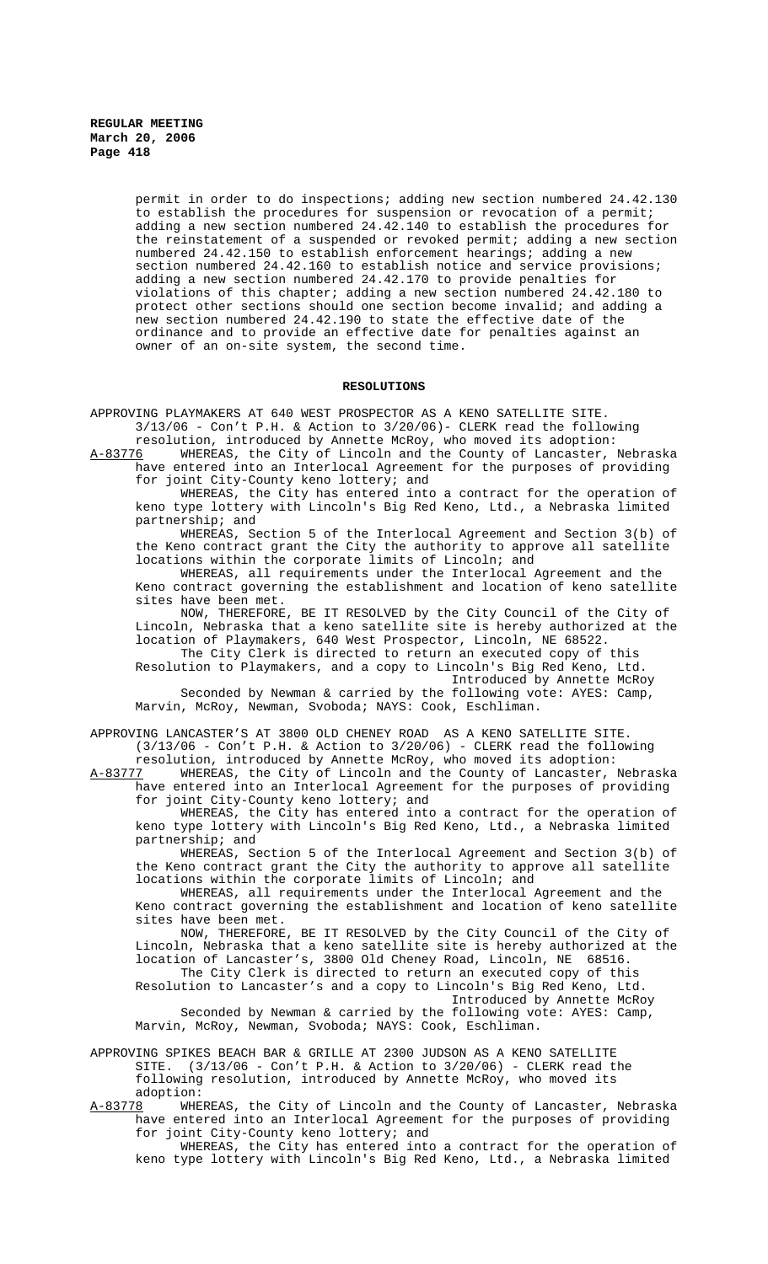> permit in order to do inspections; adding new section numbered 24.42.130 to establish the procedures for suspension or revocation of a permit; adding a new section numbered 24.42.140 to establish the procedures for the reinstatement of a suspended or revoked permit; adding a new section numbered 24.42.150 to establish enforcement hearings; adding a new section numbered 24.42.160 to establish notice and service provisions; adding a new section numbered 24.42.170 to provide penalties for violations of this chapter; adding a new section numbered 24.42.180 to protect other sections should one section become invalid; and adding a new section numbered 24.42.190 to state the effective date of the ordinance and to provide an effective date for penalties against an owner of an on-site system, the second time.

## **RESOLUTIONS**

APPROVING PLAYMAKERS AT 640 WEST PROSPECTOR AS A KENO SATELLITE SITE.  $3/13/06$  - Con't P.H. & Action to  $3/20/06$ ) - CLERK read the following resolution, introduced by Annette McRoy, who moved its adoption:

A-83776 WHEREAS, the City of Lincoln and the County of Lancaster, Nebraska have entered into an Interlocal Agreement for the purposes of providing for joint City-County keno lottery; and

WHEREAS, the City has entered into a contract for the operation of keno type lottery with Lincoln's Big Red Keno, Ltd., a Nebraska limited partnership; and

WHEREAS, Section 5 of the Interlocal Agreement and Section 3(b) of the Keno contract grant the City the authority to approve all satellite locations within the corporate limits of Lincoln; and

WHEREAS, all requirements under the Interlocal Agreement and the Keno contract governing the establishment and location of keno satellite sites have been met.

NOW, THEREFORE, BE IT RESOLVED by the City Council of the City of Lincoln, Nebraska that a keno satellite site is hereby authorized at the location of Playmakers, 640 West Prospector, Lincoln, NE 68522.

The City Clerk is directed to return an executed copy of this Resolution to Playmakers, and a copy to Lincoln's Big Red Keno, Ltd.

Introduced by Annette McRoy

Seconded by Newman & carried by the following vote: AYES: Camp, Marvin, McRoy, Newman, Svoboda; NAYS: Cook, Eschliman.

APPROVING LANCASTER'S AT 3800 OLD CHENEY ROAD AS A KENO SATELLITE SITE.  $(3/13/06$  - Con't P.H. & Action to  $3/20/06$ ) - CLERK read the following

resolution, introduced by Annette McRoy, who moved its adoption: A-83777 WHEREAS, the City of Lincoln and the County of Lancaster, Nebraska

have entered into an Interlocal Agreement for the purposes of providing for joint City-County keno lottery; and

WHEREAS, the City has entered into a contract for the operation of keno type lottery with Lincoln's Big Red Keno, Ltd., a Nebraska limited partnership; and

WHEREAS, Section 5 of the Interlocal Agreement and Section 3(b) of the Keno contract grant the City the authority to approve all satellite locations within the corporate limits of Lincoln; and

WHEREAS, all requirements under the Interlocal Agreement and the Keno contract governing the establishment and location of keno satellite sites have been met.

NOW, THEREFORE, BE IT RESOLVED by the City Council of the City of Lincoln, Nebraska that a keno satellite site is hereby authorized at the location of Lancaster's, 3800 Old Cheney Road, Lincoln, NE 68516. The City Clerk is directed to return an executed copy of this Resolution to Lancaster's and a copy to Lincoln's Big Red Keno, Ltd. Introduced by Annette McRoy

Seconded by Newman & carried by the following vote: AYES: Camp, Marvin, McRoy, Newman, Svoboda; NAYS: Cook, Eschliman.

APPROVING SPIKES BEACH BAR & GRILLE AT 2300 JUDSON AS A KENO SATELLITE SITE. (3/13/06 - Con't P.H. & Action to 3/20/06) - CLERK read the following resolution, introduced by Annette McRoy, who moved its adoption:

A-83778 WHEREAS, the City of Lincoln and the County of Lancaster, Nebraska have entered into an Interlocal Agreement for the purposes of providing for joint City-County keno lottery; and

WHEREAS, the City has entered into a contract for the operation of keno type lottery with Lincoln's Big Red Keno, Ltd., a Nebraska limited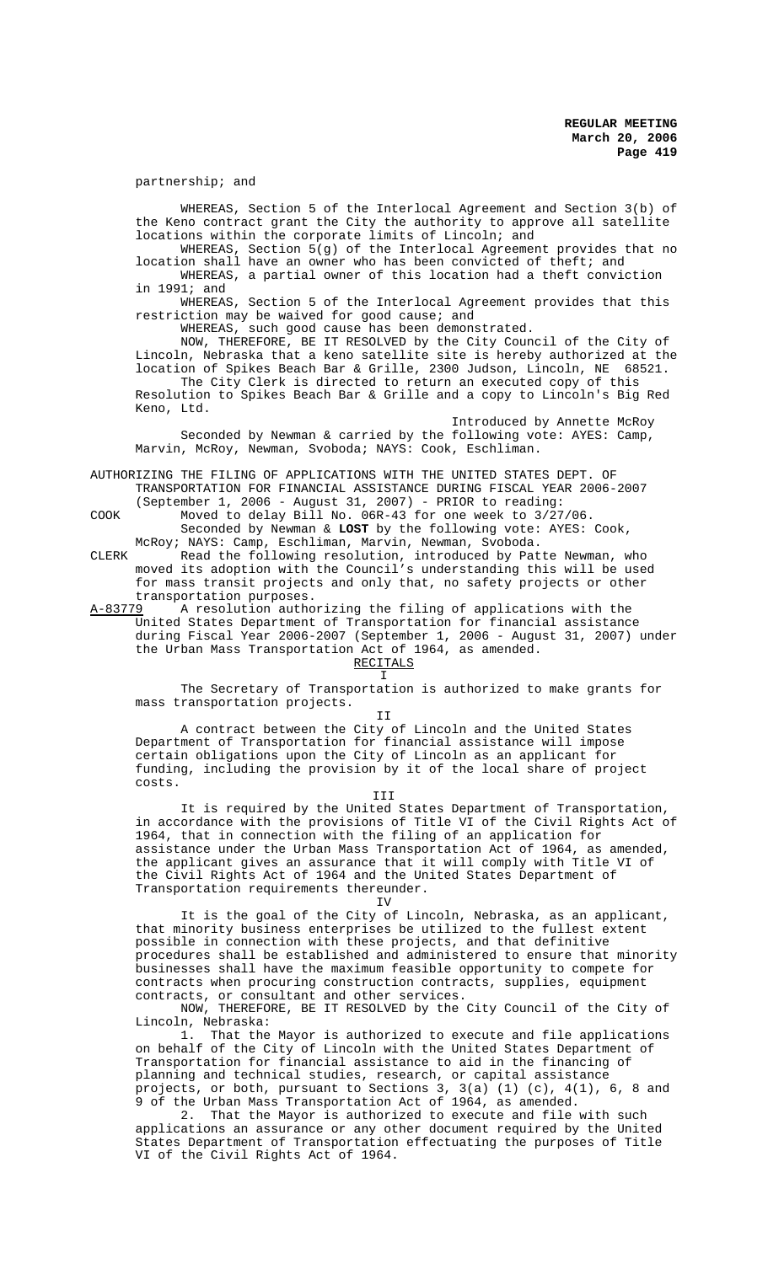partnership; and

WHEREAS, Section 5 of the Interlocal Agreement and Section 3(b) of the Keno contract grant the City the authority to approve all satellite locations within the corporate limits of Lincoln; and

WHEREAS, Section 5(g) of the Interlocal Agreement provides that no location shall have an owner who has been convicted of theft; and WHEREAS, a partial owner of this location had a theft conviction

in 1991; and

WHEREAS, Section 5 of the Interlocal Agreement provides that this restriction may be waived for good cause; and

WHEREAS, such good cause has been demonstrated.

NOW, THEREFORE, BE IT RESOLVED by the City Council of the City of Lincoln, Nebraska that a keno satellite site is hereby authorized at the location of Spikes Beach Bar & Grille, 2300 Judson, Lincoln, NE 68521.

The City Clerk is directed to return an executed copy of this Resolution to Spikes Beach Bar & Grille and a copy to Lincoln's Big Red Keno, Ltd.

Introduced by Annette McRoy Seconded by Newman & carried by the following vote: AYES: Camp, Marvin, McRoy, Newman, Svoboda; NAYS: Cook, Eschliman.

AUTHORIZING THE FILING OF APPLICATIONS WITH THE UNITED STATES DEPT. OF TRANSPORTATION FOR FINANCIAL ASSISTANCE DURING FISCAL YEAR 2006-2007

(September 1, 2006 - August 31, 2007) - PRIOR to reading: COOK Moved to delay Bill No. 06R-43 for one week to 3/27/06.

Seconded by Newman & **LOST** by the following vote: AYES: Cook, McRoy; NAYS: Camp, Eschliman, Marvin, Newman, Svoboda.

CLERK Read the following resolution, introduced by Patte Newman, who moved its adoption with the Council's understanding this will be used for mass transit projects and only that, no safety projects or other transportation purposes.<br><u>A-83779</u> A resolution autho

A resolution authorizing the filing of applications with the United States Department of Transportation for financial assistance during Fiscal Year 2006-2007 (September 1, 2006 - August 31, 2007) under the Urban Mass Transportation Act of 1964, as amended.

RECITALS  $T$ 

The Secretary of Transportation is authorized to make grants for mass transportation projects.

II

A contract between the City of Lincoln and the United States Department of Transportation for financial assistance will impose certain obligations upon the City of Lincoln as an applicant for funding, including the provision by it of the local share of project costs.

III

It is required by the United States Department of Transportation, in accordance with the provisions of Title VI of the Civil Rights Act of 1964, that in connection with the filing of an application for assistance under the Urban Mass Transportation Act of 1964, as amended, the applicant gives an assurance that it will comply with Title VI of the Civil Rights Act of 1964 and the United States Department of Transportation requirements thereunder.

IV

It is the goal of the City of Lincoln, Nebraska, as an applicant, that minority business enterprises be utilized to the fullest extent possible in connection with these projects, and that definitive procedures shall be established and administered to ensure that minority businesses shall have the maximum feasible opportunity to compete for contracts when procuring construction contracts, supplies, equipment contracts, or consultant and other services.

NOW, THEREFORE, BE IT RESOLVED by the City Council of the City of Lincoln, Nebraska:

1. That the Mayor is authorized to execute and file applications on behalf of the City of Lincoln with the United States Department of Transportation for financial assistance to aid in the financing of planning and technical studies, research, or capital assistance projects, or both, pursuant to Sections 3, 3(a) (1) (c), 4(1), 6, 8 and 9 of the Urban Mass Transportation Act of 1964, as amended.

2. That the Mayor is authorized to execute and file with such applications an assurance or any other document required by the United States Department of Transportation effectuating the purposes of Title VI of the Civil Rights Act of 1964.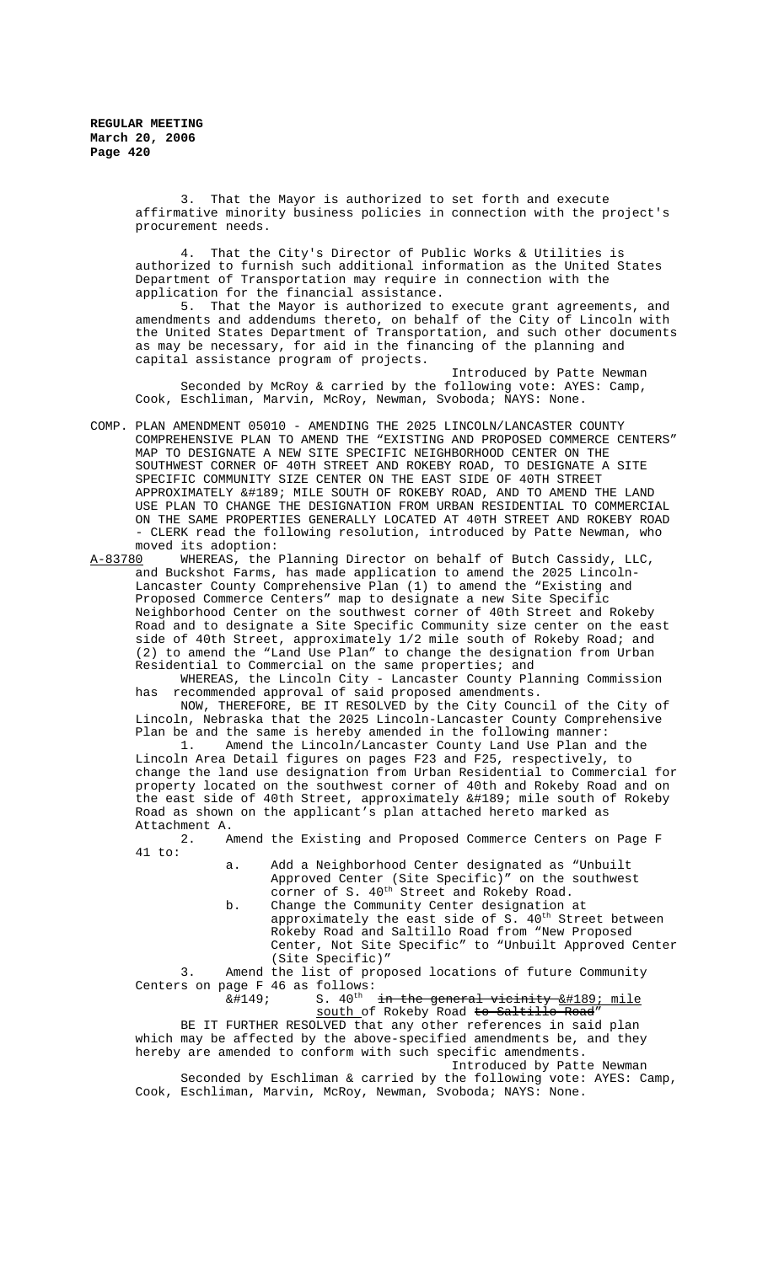> 3. That the Mayor is authorized to set forth and execute affirmative minority business policies in connection with the project's procurement needs.

4. That the City's Director of Public Works & Utilities is authorized to furnish such additional information as the United States Department of Transportation may require in connection with the application for the financial assistance.

5. That the Mayor is authorized to execute grant agreements, and amendments and addendums thereto, on behalf of the City of Lincoln with the United States Department of Transportation, and such other documents as may be necessary, for aid in the financing of the planning and capital assistance program of projects.

Introduced by Patte Newman Seconded by McRoy & carried by the following vote: AYES: Camp, Cook, Eschliman, Marvin, McRoy, Newman, Svoboda; NAYS: None.

COMP. PLAN AMENDMENT 05010 - AMENDING THE 2025 LINCOLN/LANCASTER COUNTY COMPREHENSIVE PLAN TO AMEND THE "EXISTING AND PROPOSED COMMERCE CENTERS" MAP TO DESIGNATE A NEW SITE SPECIFIC NEIGHBORHOOD CENTER ON THE SOUTHWEST CORNER OF 40TH STREET AND ROKEBY ROAD, TO DESIGNATE A SITE SPECIFIC COMMUNITY SIZE CENTER ON THE EAST SIDE OF 40TH STREET APPROXIMATELY ½ MILE SOUTH OF ROKEBY ROAD, AND TO AMEND THE LAND USE PLAN TO CHANGE THE DESIGNATION FROM URBAN RESIDENTIAL TO COMMERCIAL ON THE SAME PROPERTIES GENERALLY LOCATED AT 40TH STREET AND ROKEBY ROAD - CLERK read the following resolution, introduced by Patte Newman, who

moved its adoption:<br>A-83780 WHEREAS, the WHEREAS, the Planning Director on behalf of Butch Cassidy, LLC, and Buckshot Farms, has made application to amend the 2025 Lincoln-Lancaster County Comprehensive Plan (1) to amend the "Existing and Proposed Commerce Centers" map to designate a new Site Specific Neighborhood Center on the southwest corner of 40th Street and Rokeby Road and to designate a Site Specific Community size center on the east side of 40th Street, approximately 1/2 mile south of Rokeby Road; and (2) to amend the "Land Use Plan" to change the designation from Urban Residential to Commercial on the same properties; and

WHEREAS, the Lincoln City - Lancaster County Planning Commission has recommended approval of said proposed amendments.

NOW, THEREFORE, BE IT RESOLVED by the City Council of the City of Lincoln, Nebraska that the 2025 Lincoln-Lancaster County Comprehensive Plan be and the same is hereby amended in the following manner:<br>1. Amend the Lincoln/Lancaster County Land Use Plan an

Amend the Lincoln/Lancaster County Land Use Plan and the Lincoln Area Detail figures on pages F23 and F25, respectively, to change the land use designation from Urban Residential to Commercial for property located on the southwest corner of 40th and Rokeby Road and on the east side of 40th Street, approximately ½ mile south of Rokeby Road as shown on the applicant's plan attached hereto marked as Attachment A.

2. Amend the Existing and Proposed Commerce Centers on Page F 41 to:

> a. Add a Neighborhood Center designated as "Unbuilt Approved Center (Site Specific)" on the southwest corner of S. 40<sup>th</sup> Street and Rokeby Road.

b. Change the Community Center designation at approximately the east side of  $S. 40<sup>th</sup>$  Street between Rokeby Road and Saltillo Road from "New Proposed Center, Not Site Specific" to "Unbuilt Approved Center (Site Specific)"

3. Amend the list of proposed locations of future Community Centers on page F 46 as follows:<br> $\&$ #149; S. 40<sup>th</sup>

S.  $40^{th}$  in the general vicinity  $&\#189$ ; mile

south of Rokeby Road to Saltillo Road'

BE IT FURTHER RESOLVED that any other references in said plan which may be affected by the above-specified amendments be, and they hereby are amended to conform with such specific amendments. Introduced by Patte Newman

Seconded by Eschliman & carried by the following vote: AYES: Camp, Cook, Eschliman, Marvin, McRoy, Newman, Svoboda; NAYS: None.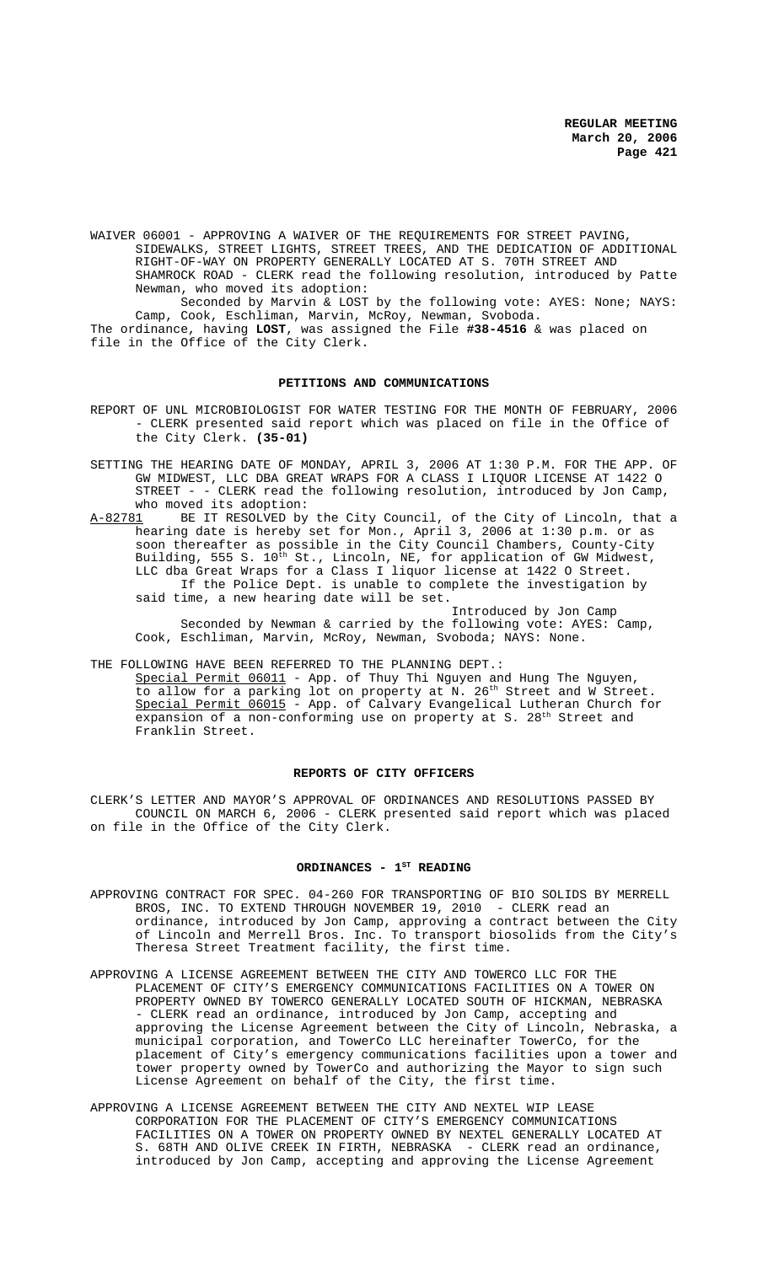WAIVER 06001 - APPROVING A WAIVER OF THE REQUIREMENTS FOR STREET PAVING, SIDEWALKS, STREET LIGHTS, STREET TREES, AND THE DEDICATION OF ADDITIONAL RIGHT-OF-WAY ON PROPERTY GENERALLY LOCATED AT S. 70TH STREET AND SHAMROCK ROAD - CLERK read the following resolution, introduced by Patte Newman, who moved its adoption: Seconded by Marvin & LOST by the following vote: AYES: None; NAYS:

Camp, Cook, Eschliman, Marvin, McRoy, Newman, Svoboda. The ordinance, having **LOST**, was assigned the File **#38-4516** & was placed on file in the Office of the City Clerk.

#### **PETITIONS AND COMMUNICATIONS**

- REPORT OF UNL MICROBIOLOGIST FOR WATER TESTING FOR THE MONTH OF FEBRUARY, 2006 - CLERK presented said report which was placed on file in the Office of the City Clerk. **(35-01)**
- SETTING THE HEARING DATE OF MONDAY, APRIL 3, 2006 AT 1:30 P.M. FOR THE APP. OF GW MIDWEST, LLC DBA GREAT WRAPS FOR A CLASS I LIQUOR LICENSE AT 1422 O STREET - - CLERK read the following resolution, introduced by Jon Camp, who moved its adoption:<br>A-82781 BE IT RESOLVED by
- A-82781 BE IT RESOLVED by the City Council, of the City of Lincoln, that a hearing date is hereby set for Mon., April 3, 2006 at 1:30 p.m. or as soon thereafter as possible in the City Council Chambers, County-City Building, 555 S. 10<sup>th</sup> St., Lincoln, NE, for application of GW Midwest, LLC dba Great Wraps for a Class I liquor license at 1422 O Street. If the Police Dept. is unable to complete the investigation by said time, a new hearing date will be set.

Introduced by Jon Camp Seconded by Newman & carried by the following vote: AYES: Camp, Cook, Eschliman, Marvin, McRoy, Newman, Svoboda; NAYS: None.

THE FOLLOWING HAVE BEEN REFERRED TO THE PLANNING DEPT.:

Special Permit 06011 - App. of Thuy Thi Nguyen and Hung The Nguyen, to allow for a parking lot on property at N. 26<sup>th</sup> Street and W Street. Special Permit 06015 - App. of Calvary Evangelical Lutheran Church for expansion of a non-conforming use on property at S. 28<sup>th</sup> Street and Franklin Street.

#### **REPORTS OF CITY OFFICERS**

CLERK'S LETTER AND MAYOR'S APPROVAL OF ORDINANCES AND RESOLUTIONS PASSED BY COUNCIL ON MARCH 6, 2006 - CLERK presented said report which was placed on file in the Office of the City Clerk.

#### ORDINANCES - 1<sup>ST</sup> READING

- APPROVING CONTRACT FOR SPEC. 04-260 FOR TRANSPORTING OF BIO SOLIDS BY MERRELL BROS, INC. TO EXTEND THROUGH NOVEMBER 19, 2010 - CLERK read an ordinance, introduced by Jon Camp, approving a contract between the City of Lincoln and Merrell Bros. Inc. To transport biosolids from the City's Theresa Street Treatment facility, the first time.
- APPROVING A LICENSE AGREEMENT BETWEEN THE CITY AND TOWERCO LLC FOR THE PLACEMENT OF CITY'S EMERGENCY COMMUNICATIONS FACILITIES ON A TOWER ON PROPERTY OWNED BY TOWERCO GENERALLY LOCATED SOUTH OF HICKMAN, NEBRASKA - CLERK read an ordinance, introduced by Jon Camp, accepting and approving the License Agreement between the City of Lincoln, Nebraska, a municipal corporation, and TowerCo LLC hereinafter TowerCo, for the placement of City's emergency communications facilities upon a tower and tower property owned by TowerCo and authorizing the Mayor to sign such License Agreement on behalf of the City, the first time.
- APPROVING A LICENSE AGREEMENT BETWEEN THE CITY AND NEXTEL WIP LEASE CORPORATION FOR THE PLACEMENT OF CITY'S EMERGENCY COMMUNICATIONS FACILITIES ON A TOWER ON PROPERTY OWNED BY NEXTEL GENERALLY LOCATED AT S. 68TH AND OLIVE CREEK IN FIRTH, NEBRASKA - CLERK read an ordinance, introduced by Jon Camp, accepting and approving the License Agreement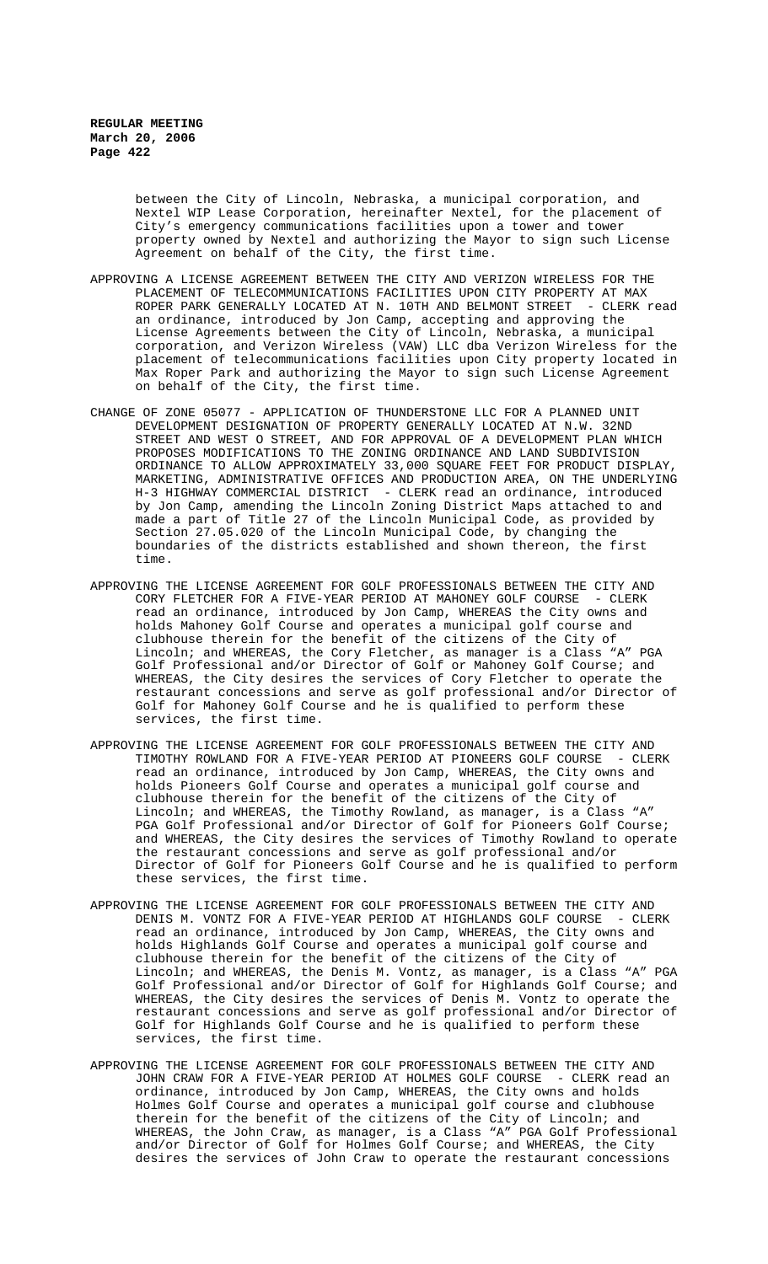between the City of Lincoln, Nebraska, a municipal corporation, and Nextel WIP Lease Corporation, hereinafter Nextel, for the placement of City's emergency communications facilities upon a tower and tower property owned by Nextel and authorizing the Mayor to sign such License Agreement on behalf of the City, the first time.

- APPROVING A LICENSE AGREEMENT BETWEEN THE CITY AND VERIZON WIRELESS FOR THE PLACEMENT OF TELECOMMUNICATIONS FACILITIES UPON CITY PROPERTY AT MAX ROPER PARK GENERALLY LOCATED AT N. 10TH AND BELMONT STREET - CLERK read an ordinance, introduced by Jon Camp, accepting and approving the License Agreements between the City of Lincoln, Nebraska, a municipal corporation, and Verizon Wireless (VAW) LLC dba Verizon Wireless for the placement of telecommunications facilities upon City property located in Max Roper Park and authorizing the Mayor to sign such License Agreement on behalf of the City, the first time.
- CHANGE OF ZONE 05077 APPLICATION OF THUNDERSTONE LLC FOR A PLANNED UNIT DEVELOPMENT DESIGNATION OF PROPERTY GENERALLY LOCATED AT N.W. 32ND STREET AND WEST O STREET, AND FOR APPROVAL OF A DEVELOPMENT PLAN WHICH PROPOSES MODIFICATIONS TO THE ZONING ORDINANCE AND LAND SUBDIVISION ORDINANCE TO ALLOW APPROXIMATELY 33,000 SQUARE FEET FOR PRODUCT DISPLAY, MARKETING, ADMINISTRATIVE OFFICES AND PRODUCTION AREA, ON THE UNDERLYING H-3 HIGHWAY COMMERCIAL DISTRICT - CLERK read an ordinance, introduced by Jon Camp, amending the Lincoln Zoning District Maps attached to and made a part of Title 27 of the Lincoln Municipal Code, as provided by Section 27.05.020 of the Lincoln Municipal Code, by changing the boundaries of the districts established and shown thereon, the first time.
- APPROVING THE LICENSE AGREEMENT FOR GOLF PROFESSIONALS BETWEEN THE CITY AND CORY FLETCHER FOR A FIVE-YEAR PERIOD AT MAHONEY GOLF COURSE - CLERK read an ordinance, introduced by Jon Camp, WHEREAS the City owns and holds Mahoney Golf Course and operates a municipal golf course and clubhouse therein for the benefit of the citizens of the City of Lincoln; and WHEREAS, the Cory Fletcher, as manager is a Class "A" PGA Golf Professional and/or Director of Golf or Mahoney Golf Course; and WHEREAS, the City desires the services of Cory Fletcher to operate the restaurant concessions and serve as golf professional and/or Director of Golf for Mahoney Golf Course and he is qualified to perform these services, the first time.
- APPROVING THE LICENSE AGREEMENT FOR GOLF PROFESSIONALS BETWEEN THE CITY AND TIMOTHY ROWLAND FOR A FIVE-YEAR PERIOD AT PIONEERS GOLF COURSE - CLERK read an ordinance, introduced by Jon Camp, WHEREAS, the City owns and holds Pioneers Golf Course and operates a municipal golf course and clubhouse therein for the benefit of the citizens of the City of Lincoln; and WHEREAS, the Timothy Rowland, as manager, is a Class "A" PGA Golf Professional and/or Director of Golf for Pioneers Golf Course; and WHEREAS, the City desires the services of Timothy Rowland to operate the restaurant concessions and serve as golf professional and/or Director of Golf for Pioneers Golf Course and he is qualified to perform these services, the first time.
- APPROVING THE LICENSE AGREEMENT FOR GOLF PROFESSIONALS BETWEEN THE CITY AND DENIS M. VONTZ FOR A FIVE-YEAR PERIOD AT HIGHLANDS GOLF COURSE - CLERK read an ordinance, introduced by Jon Camp, WHEREAS, the City owns and holds Highlands Golf Course and operates a municipal golf course and clubhouse therein for the benefit of the citizens of the City of Lincoln; and WHEREAS, the Denis M. Vontz, as manager, is a Class "A" PGA Golf Professional and/or Director of Golf for Highlands Golf Course; and WHEREAS, the City desires the services of Denis M. Vontz to operate the restaurant concessions and serve as golf professional and/or Director of Golf for Highlands Golf Course and he is qualified to perform these services, the first time.
- APPROVING THE LICENSE AGREEMENT FOR GOLF PROFESSIONALS BETWEEN THE CITY AND JOHN CRAW FOR A FIVE-YEAR PERIOD AT HOLMES GOLF COURSE - CLERK read an ordinance, introduced by Jon Camp, WHEREAS, the City owns and holds Holmes Golf Course and operates a municipal golf course and clubhouse therein for the benefit of the citizens of the City of Lincoln; and WHEREAS, the John Craw, as manager, is a Class "A" PGA Golf Professional and/or Director of Golf for Holmes Golf Course; and WHEREAS, the City desires the services of John Craw to operate the restaurant concessions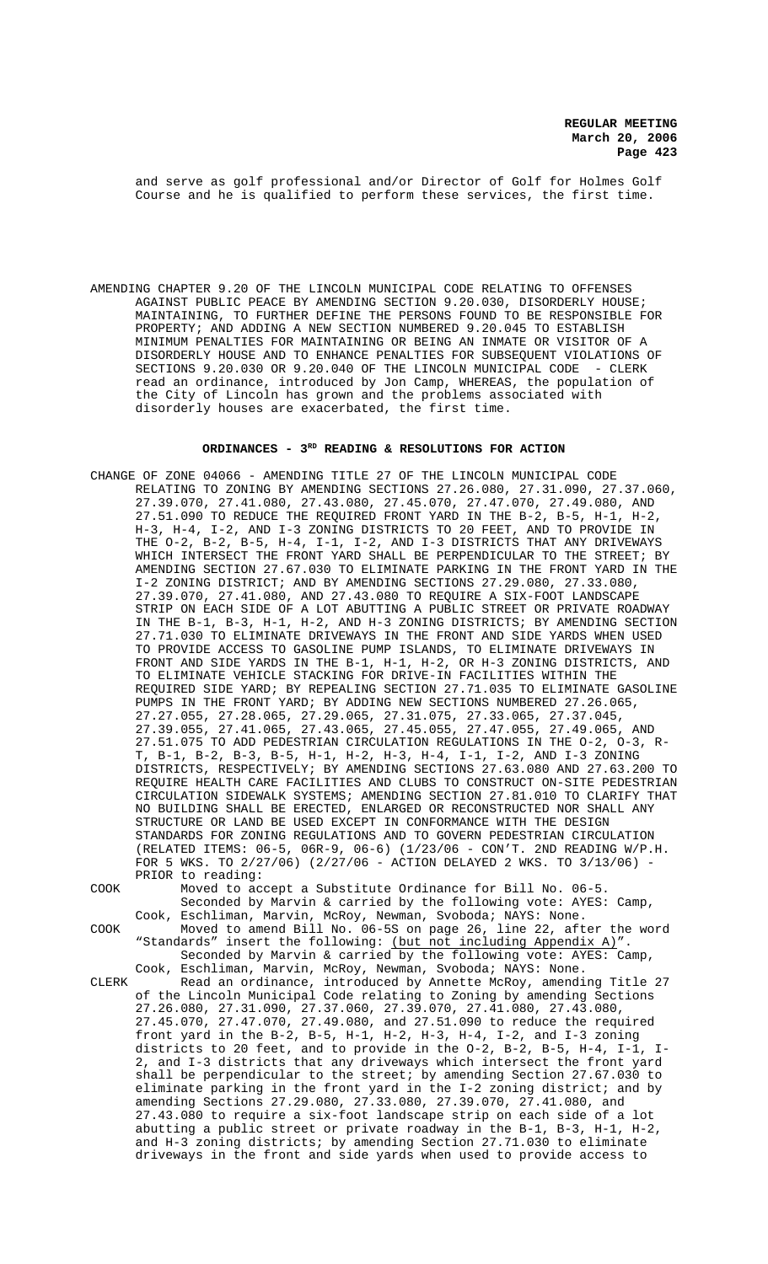and serve as golf professional and/or Director of Golf for Holmes Golf Course and he is qualified to perform these services, the first time.

AMENDING CHAPTER 9.20 OF THE LINCOLN MUNICIPAL CODE RELATING TO OFFENSES AGAINST PUBLIC PEACE BY AMENDING SECTION 9.20.030, DISORDERLY HOUSE; MAINTAINING, TO FURTHER DEFINE THE PERSONS FOUND TO BE RESPONSIBLE FOR PROPERTY; AND ADDING A NEW SECTION NUMBERED 9.20.045 TO ESTABLISH MINIMUM PENALTIES FOR MAINTAINING OR BEING AN INMATE OR VISITOR OF A DISORDERLY HOUSE AND TO ENHANCE PENALTIES FOR SUBSEQUENT VIOLATIONS OF SECTIONS 9.20.030 OR 9.20.040 OF THE LINCOLN MUNICIPAL CODE - CLERK read an ordinance, introduced by Jon Camp, WHEREAS, the population of the City of Lincoln has grown and the problems associated with disorderly houses are exacerbated, the first time.

## ORDINANCES - 3<sup>RD</sup> READING & RESOLUTIONS FOR ACTION

CHANGE OF ZONE 04066 - AMENDING TITLE 27 OF THE LINCOLN MUNICIPAL CODE RELATING TO ZONING BY AMENDING SECTIONS 27.26.080, 27.31.090, 27.37.060, 27.39.070, 27.41.080, 27.43.080, 27.45.070, 27.47.070, 27.49.080, AND 27.51.090 TO REDUCE THE REQUIRED FRONT YARD IN THE B-2, B-5, H-1, H-2, H-3, H-4, I-2, AND I-3 ZONING DISTRICTS TO 20 FEET, AND TO PROVIDE IN THE O-2, B-2, B-5, H-4, I-1, I-2, AND I-3 DISTRICTS THAT ANY DRIVEWAYS WHICH INTERSECT THE FRONT YARD SHALL BE PERPENDICULAR TO THE STREET; BY AMENDING SECTION 27.67.030 TO ELIMINATE PARKING IN THE FRONT YARD IN THE I-2 ZONING DISTRICT; AND BY AMENDING SECTIONS 27.29.080, 27.33.080, 27.39.070, 27.41.080, AND 27.43.080 TO REQUIRE A SIX-FOOT LANDSCAPE STRIP ON EACH SIDE OF A LOT ABUTTING A PUBLIC STREET OR PRIVATE ROADWAY IN THE B-1, B-3, H-1, H-2, AND H-3 ZONING DISTRICTS; BY AMENDING SECTION 27.71.030 TO ELIMINATE DRIVEWAYS IN THE FRONT AND SIDE YARDS WHEN USED TO PROVIDE ACCESS TO GASOLINE PUMP ISLANDS, TO ELIMINATE DRIVEWAYS IN FRONT AND SIDE YARDS IN THE B-1, H-1, H-2, OR H-3 ZONING DISTRICTS, AND TO ELIMINATE VEHICLE STACKING FOR DRIVE-IN FACILITIES WITHIN THE REQUIRED SIDE YARD; BY REPEALING SECTION 27.71.035 TO ELIMINATE GASOLINE PUMPS IN THE FRONT YARD; BY ADDING NEW SECTIONS NUMBERED 27.26.065, 27.27.055, 27.28.065, 27.29.065, 27.31.075, 27.33.065, 27.37.045, 27.39.055, 27.41.065, 27.43.065, 27.45.055, 27.47.055, 27.49.065, AND 27.51.075 TO ADD PEDESTRIAN CIRCULATION REGULATIONS IN THE O-2, O-3, R-T, B-1, B-2, B-3, B-5, H-1, H-2, H-3, H-4, I-1, I-2, AND I-3 ZONING DISTRICTS, RESPECTIVELY; BY AMENDING SECTIONS 27.63.080 AND 27.63.200 TO REQUIRE HEALTH CARE FACILITIES AND CLUBS TO CONSTRUCT ON-SITE PEDESTRIAN CIRCULATION SIDEWALK SYSTEMS; AMENDING SECTION 27.81.010 TO CLARIFY THAT NO BUILDING SHALL BE ERECTED, ENLARGED OR RECONSTRUCTED NOR SHALL ANY STRUCTURE OR LAND BE USED EXCEPT IN CONFORMANCE WITH THE DESIGN STANDARDS FOR ZONING REGULATIONS AND TO GOVERN PEDESTRIAN CIRCULATION (RELATED ITEMS: 06-5, 06R-9, 06-6) (1/23/06 - CON'T. 2ND READING W/P.H. FOR 5 WKS. TO 2/27/06) (2/27/06 - ACTION DELAYED 2 WKS. TO 3/13/06) - PRIOR to reading:

COOK Moved to accept a Substitute Ordinance for Bill No. 06-5.

Seconded by Marvin & carried by the following vote: AYES: Camp, Cook, Eschliman, Marvin, McRoy, Newman, Svoboda; NAYS: None. COOK Moved to amend Bill No. 06-5S on page 26, line 22, after the word

"Standards" insert the following: <u>(but not including Appendix A)</u>".<br>Seconded by Marvin & carried by the following yote: AYES: Camp Seconded by Marvin & carried by the following vote: AYES: Cook, Eschliman, Marvin, McRoy, Newman, Svoboda; NAYS: None. CLERK Read an ordinance, introduced by Annette McRoy, amending Title 27 of the Lincoln Municipal Code relating to Zoning by amending Sections 27.26.080, 27.31.090, 27.37.060, 27.39.070, 27.41.080, 27.43.080, 27.45.070, 27.47.070, 27.49.080, and 27.51.090 to reduce the required front yard in the B-2, B-5, H-1, H-2, H-3, H-4, I-2, and I-3 zoning districts to 20 feet, and to provide in the O-2, B-2, B-5, H-4, I-1, I-2, and I-3 districts that any driveways which intersect the front yard shall be perpendicular to the street; by amending Section 27.67.030 to eliminate parking in the front yard in the I-2 zoning district; and by amending Sections 27.29.080, 27.33.080, 27.39.070, 27.41.080, and 27.43.080 to require a six-foot landscape strip on each side of a lot abutting a public street or private roadway in the B-1, B-3, H-1, H-2, and H-3 zoning districts; by amending Section 27.71.030 to eliminate

driveways in the front and side yards when used to provide access to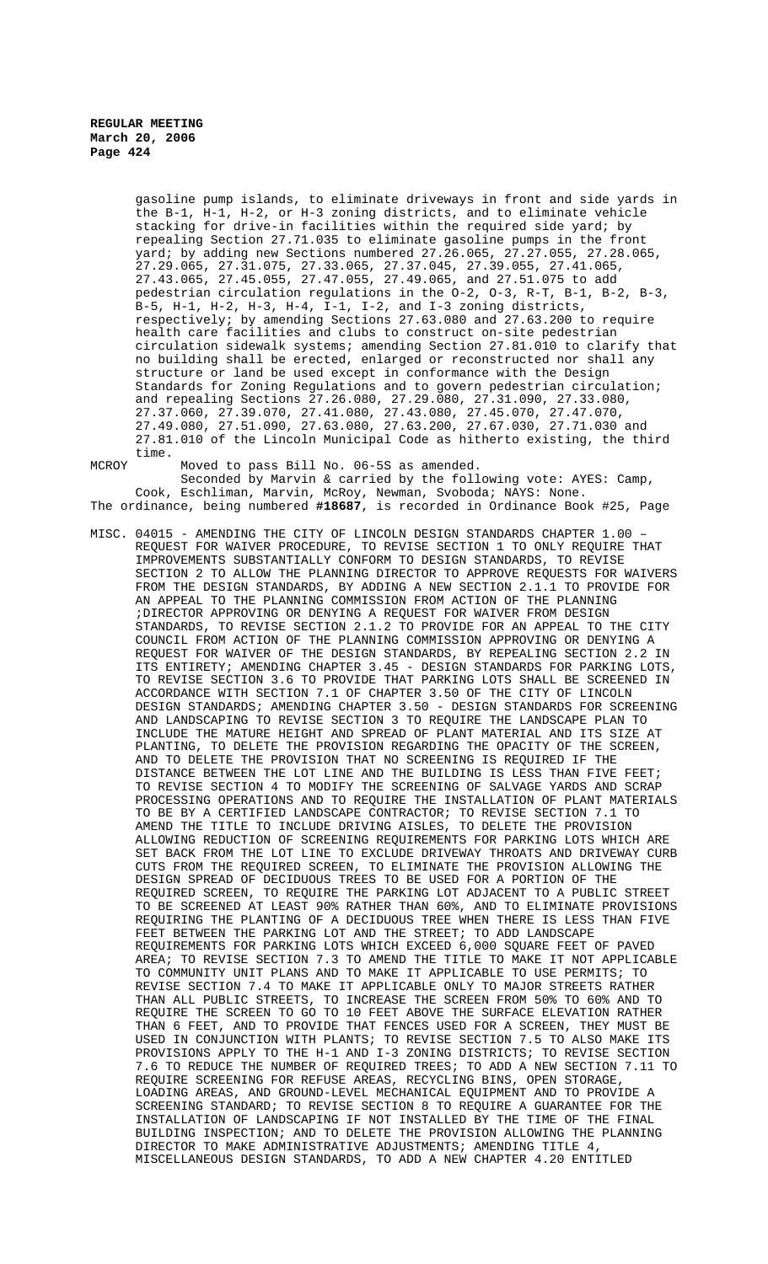> gasoline pump islands, to eliminate driveways in front and side yards in the B-1, H-1, H-2, or H-3 zoning districts, and to eliminate vehicle stacking for drive-in facilities within the required side yard; by repealing Section 27.71.035 to eliminate gasoline pumps in the front yard; by adding new Sections numbered 27.26.065, 27.27.055, 27.28.065, 27.29.065, 27.31.075, 27.33.065, 27.37.045, 27.39.055, 27.41.065, 27.43.065, 27.45.055, 27.47.055, 27.49.065, and 27.51.075 to add pedestrian circulation regulations in the O-2, O-3, R-T, B-1, B-2, B-3, B-5, H-1, H-2, H-3, H-4, I-1, I-2, and I-3 zoning districts, respectively; by amending Sections 27.63.080 and 27.63.200 to require health care facilities and clubs to construct on-site pedestrian circulation sidewalk systems; amending Section 27.81.010 to clarify that no building shall be erected, enlarged or reconstructed nor shall any structure or land be used except in conformance with the Design Standards for Zoning Regulations and to govern pedestrian circulation; and repealing Sections 27.26.080, 27.29.080, 27.31.090, 27.33.080, 27.37.060, 27.39.070, 27.41.080, 27.43.080, 27.45.070, 27.47.070, 27.49.080, 27.51.090, 27.63.080, 27.63.200, 27.67.030, 27.71.030 and 27.81.010 of the Lincoln Municipal Code as hitherto existing, the third time.

MCROY Moved to pass Bill No. 06-5S as amended. Seconded by Marvin & carried by the following vote: AYES: Camp, Cook, Eschliman, Marvin, McRoy, Newman, Svoboda; NAYS: None. The ordinance, being numbered **#18687**, is recorded in Ordinance Book #25, Page

MISC. 04015 - AMENDING THE CITY OF LINCOLN DESIGN STANDARDS CHAPTER 1.00 – REQUEST FOR WAIVER PROCEDURE, TO REVISE SECTION 1 TO ONLY REQUIRE THAT IMPROVEMENTS SUBSTANTIALLY CONFORM TO DESIGN STANDARDS, TO REVISE SECTION 2 TO ALLOW THE PLANNING DIRECTOR TO APPROVE REQUESTS FOR WAIVERS FROM THE DESIGN STANDARDS, BY ADDING A NEW SECTION 2.1.1 TO PROVIDE FOR AN APPEAL TO THE PLANNING COMMISSION FROM ACTION OF THE PLANNING ;DIRECTOR APPROVING OR DENYING A REQUEST FOR WAIVER FROM DESIGN STANDARDS, TO REVISE SECTION 2.1.2 TO PROVIDE FOR AN APPEAL TO THE CITY COUNCIL FROM ACTION OF THE PLANNING COMMISSION APPROVING OR DENYING A REQUEST FOR WAIVER OF THE DESIGN STANDARDS, BY REPEALING SECTION 2.2 IN ITS ENTIRETY; AMENDING CHAPTER 3.45 - DESIGN STANDARDS FOR PARKING LOTS, TO REVISE SECTION 3.6 TO PROVIDE THAT PARKING LOTS SHALL BE SCREENED IN ACCORDANCE WITH SECTION 7.1 OF CHAPTER 3.50 OF THE CITY OF LINCOLN DESIGN STANDARDS; AMENDING CHAPTER 3.50 - DESIGN STANDARDS FOR SCREENING AND LANDSCAPING TO REVISE SECTION 3 TO REQUIRE THE LANDSCAPE PLAN TO INCLUDE THE MATURE HEIGHT AND SPREAD OF PLANT MATERIAL AND ITS SIZE AT PLANTING, TO DELETE THE PROVISION REGARDING THE OPACITY OF THE SCREEN, AND TO DELETE THE PROVISION THAT NO SCREENING IS REQUIRED IF THE DISTANCE BETWEEN THE LOT LINE AND THE BUILDING IS LESS THAN FIVE FEET; TO REVISE SECTION 4 TO MODIFY THE SCREENING OF SALVAGE YARDS AND SCRAP PROCESSING OPERATIONS AND TO REQUIRE THE INSTALLATION OF PLANT MATERIALS TO BE BY A CERTIFIED LANDSCAPE CONTRACTOR; TO REVISE SECTION 7.1 TO AMEND THE TITLE TO INCLUDE DRIVING AISLES, TO DELETE THE PROVISION ALLOWING REDUCTION OF SCREENING REQUIREMENTS FOR PARKING LOTS WHICH ARE SET BACK FROM THE LOT LINE TO EXCLUDE DRIVEWAY THROATS AND DRIVEWAY CURB CUTS FROM THE REQUIRED SCREEN, TO ELIMINATE THE PROVISION ALLOWING THE DESIGN SPREAD OF DECIDUOUS TREES TO BE USED FOR A PORTION OF THE REQUIRED SCREEN, TO REQUIRE THE PARKING LOT ADJACENT TO A PUBLIC STREET TO BE SCREENED AT LEAST 90% RATHER THAN 60%, AND TO ELIMINATE PROVISIONS REQUIRING THE PLANTING OF A DECIDUOUS TREE WHEN THERE IS LESS THAN FIVE FEET BETWEEN THE PARKING LOT AND THE STREET; TO ADD LANDSCAPE REQUIREMENTS FOR PARKING LOTS WHICH EXCEED 6,000 SQUARE FEET OF PAVED AREA; TO REVISE SECTION 7.3 TO AMEND THE TITLE TO MAKE IT NOT APPLICABLE TO COMMUNITY UNIT PLANS AND TO MAKE IT APPLICABLE TO USE PERMITS; TO REVISE SECTION 7.4 TO MAKE IT APPLICABLE ONLY TO MAJOR STREETS RATHER THAN ALL PUBLIC STREETS, TO INCREASE THE SCREEN FROM 50% TO 60% AND TO REQUIRE THE SCREEN TO GO TO 10 FEET ABOVE THE SURFACE ELEVATION RATHER THAN 6 FEET, AND TO PROVIDE THAT FENCES USED FOR A SCREEN, THEY MUST BE USED IN CONJUNCTION WITH PLANTS; TO REVISE SECTION 7.5 TO ALSO MAKE ITS PROVISIONS APPLY TO THE H-1 AND I-3 ZONING DISTRICTS; TO REVISE SECTION 7.6 TO REDUCE THE NUMBER OF REQUIRED TREES; TO ADD A NEW SECTION 7.11 TO REQUIRE SCREENING FOR REFUSE AREAS, RECYCLING BINS, OPEN STORAGE, LOADING AREAS, AND GROUND-LEVEL MECHANICAL EQUIPMENT AND TO PROVIDE A SCREENING STANDARD; TO REVISE SECTION 8 TO REQUIRE A GUARANTEE FOR THE INSTALLATION OF LANDSCAPING IF NOT INSTALLED BY THE TIME OF THE FINAL BUILDING INSPECTION; AND TO DELETE THE PROVISION ALLOWING THE PLANNING DIRECTOR TO MAKE ADMINISTRATIVE ADJUSTMENTS; AMENDING TITLE 4, MISCELLANEOUS DESIGN STANDARDS, TO ADD A NEW CHAPTER 4.20 ENTITLED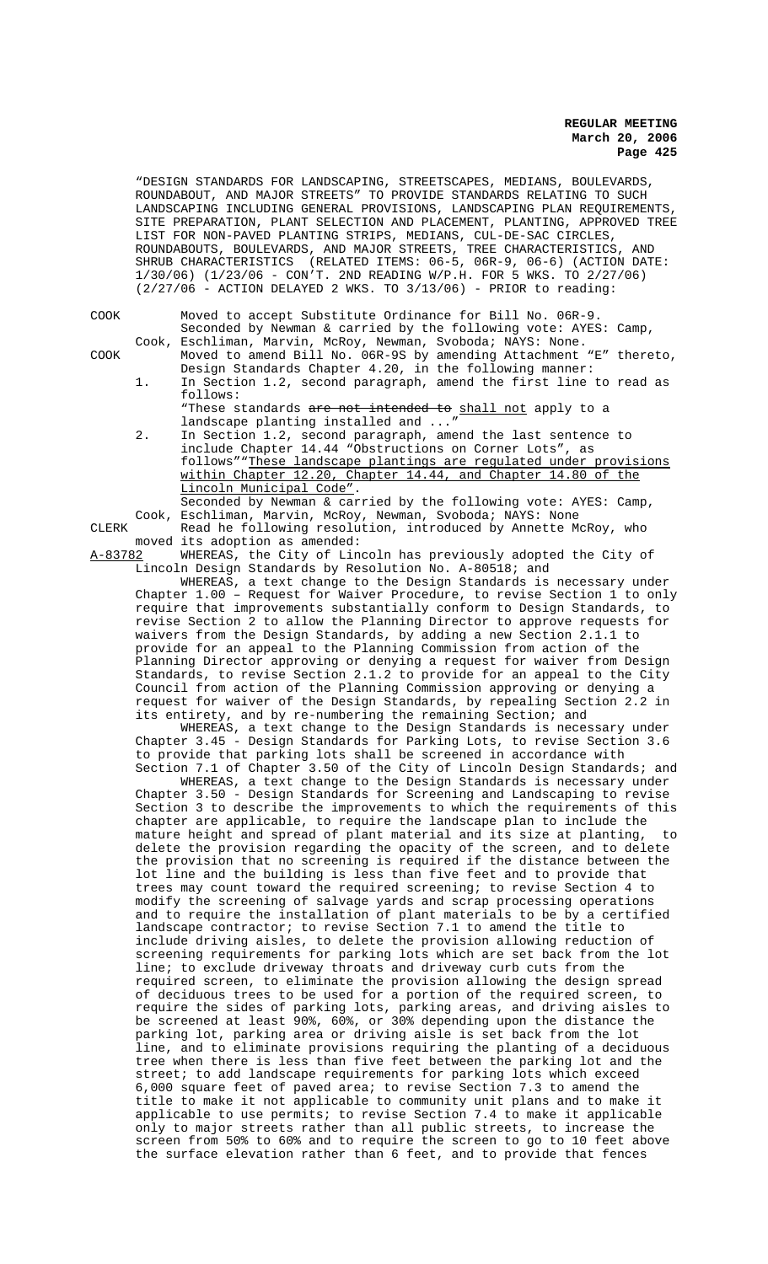"DESIGN STANDARDS FOR LANDSCAPING, STREETSCAPES, MEDIANS, BOULEVARDS, ROUNDABOUT, AND MAJOR STREETS" TO PROVIDE STANDARDS RELATING TO SUCH LANDSCAPING INCLUDING GENERAL PROVISIONS, LANDSCAPING PLAN REQUIREMENTS, SITE PREPARATION, PLANT SELECTION AND PLACEMENT, PLANTING, APPROVED TREE LIST FOR NON-PAVED PLANTING STRIPS, MEDIANS, CUL-DE-SAC CIRCLES, ROUNDABOUTS, BOULEVARDS, AND MAJOR STREETS, TREE CHARACTERISTICS, AND SHRUB CHARACTERISTICS (RELATED ITEMS: 06-5, 06R-9, 06-6) (ACTION DATE: 1/30/06) (1/23/06 - CON'T. 2ND READING W/P.H. FOR 5 WKS. TO 2/27/06)  $(2/27/06$  - ACTION DELAYED 2 WKS. TO  $3/13/06$ ) - PRIOR to reading:

| COOK |    | Moved to accept Substitute Ordinance for Bill No. 06R-9.           |
|------|----|--------------------------------------------------------------------|
|      |    | Seconded by Newman & carried by the following vote: AYES: Camp,    |
|      |    | Cook, Eschliman, Marvin, McRoy, Newman, Svoboda; NAYS: None.       |
| COOK |    | Moved to amend Bill No. 06R-9S by amending Attachment "E" thereto, |
|      |    | Design Standards Chapter 4.20, in the following manner:            |
|      | 1. | In Section 1.2, second paragraph, amend the first line to read as  |
|      |    | follows:                                                           |
|      |    | "These standards are not intended to shall not apply to a          |
|      |    | landscape planting installed and "                                 |
|      | 2. | In Section 1.2, second paragraph, amend the last sentence to       |
|      |    | include Chapter 14.44 "Obstructions on Corner Lots", as            |
|      |    |                                                                    |

follows""These landscape plantings are regulated under provisions within Chapter 12.20, Chapter 14.44, and Chapter 14.80 of the Lincoln Municipal Code".

Seconded by Newman & carried by the following vote: AYES: Camp, Cook, Eschliman, Marvin, McRoy, Newman, Svoboda; NAYS: None CLERK Read he following resolution, introduced by Annette McRoy, who

moved its adoption as amended:<br>A-83782 WHEREAS, the City of Lin WHEREAS, the City of Lincoln has previously adopted the City of Lincoln Design Standards by Resolution No. A-80518; and

WHEREAS, a text change to the Design Standards is necessary under Chapter 1.00 – Request for Waiver Procedure, to revise Section 1 to only require that improvements substantially conform to Design Standards, to revise Section 2 to allow the Planning Director to approve requests for waivers from the Design Standards, by adding a new Section 2.1.1 to provide for an appeal to the Planning Commission from action of the Planning Director approving or denying a request for waiver from Design Standards, to revise Section 2.1.2 to provide for an appeal to the City Council from action of the Planning Commission approving or denying a request for waiver of the Design Standards, by repealing Section 2.2 in its entirety, and by re-numbering the remaining Section; and

WHEREAS, a text change to the Design Standards is necessary under Chapter 3.45 - Design Standards for Parking Lots, to revise Section 3.6 to provide that parking lots shall be screened in accordance with Section 7.1 of Chapter 3.50 of the City of Lincoln Design Standards; and

WHEREAS, a text change to the Design Standards is necessary under Chapter 3.50 - Design Standards for Screening and Landscaping to revise Section 3 to describe the improvements to which the requirements of this chapter are applicable, to require the landscape plan to include the mature height and spread of plant material and its size at planting, to delete the provision regarding the opacity of the screen, and to delete the provision that no screening is required if the distance between the lot line and the building is less than five feet and to provide that trees may count toward the required screening; to revise Section 4 to modify the screening of salvage yards and scrap processing operations and to require the installation of plant materials to be by a certified landscape contractor; to revise Section 7.1 to amend the title to include driving aisles, to delete the provision allowing reduction of screening requirements for parking lots which are set back from the lot line; to exclude driveway throats and driveway curb cuts from the required screen, to eliminate the provision allowing the design spread of deciduous trees to be used for a portion of the required screen, to require the sides of parking lots, parking areas, and driving aisles to be screened at least 90%, 60%, or 30% depending upon the distance the parking lot, parking area or driving aisle is set back from the lot line, and to eliminate provisions requiring the planting of a deciduous tree when there is less than five feet between the parking lot and the street; to add landscape requirements for parking lots which exceed 6,000 square feet of paved area; to revise Section 7.3 to amend the title to make it not applicable to community unit plans and to make it applicable to use permits; to revise Section 7.4 to make it applicable only to major streets rather than all public streets, to increase the screen from 50% to 60% and to require the screen to go to 10 feet above the surface elevation rather than 6 feet, and to provide that fences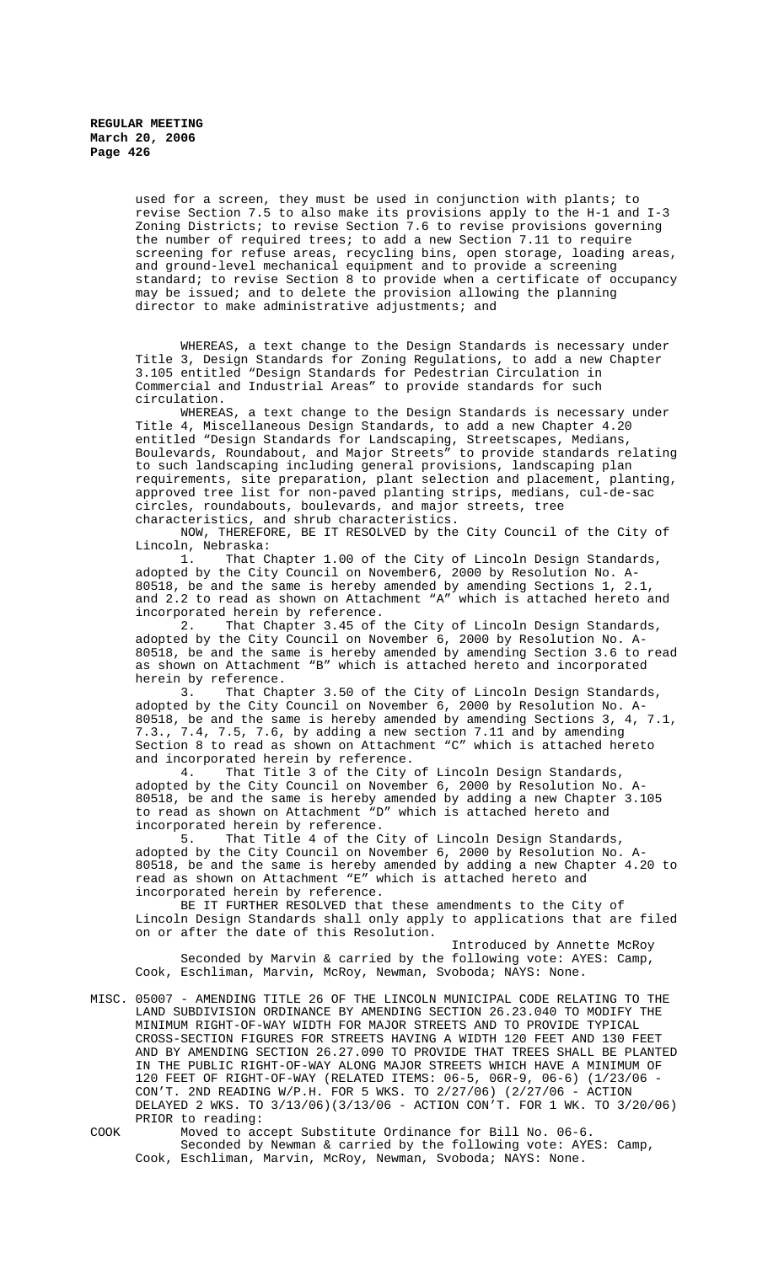used for a screen, they must be used in conjunction with plants; to revise Section 7.5 to also make its provisions apply to the H-1 and I-3 Zoning Districts; to revise Section 7.6 to revise provisions governing the number of required trees; to add a new Section 7.11 to require screening for refuse areas, recycling bins, open storage, loading areas, and ground-level mechanical equipment and to provide a screening standard; to revise Section 8 to provide when a certificate of occupancy may be issued; and to delete the provision allowing the planning director to make administrative adjustments; and

WHEREAS, a text change to the Design Standards is necessary under Title 3, Design Standards for Zoning Regulations, to add a new Chapter 3.105 entitled "Design Standards for Pedestrian Circulation in Commercial and Industrial Areas" to provide standards for such circulation.

WHEREAS, a text change to the Design Standards is necessary under Title 4, Miscellaneous Design Standards, to add a new Chapter 4.20 entitled "Design Standards for Landscaping, Streetscapes, Medians, Boulevards, Roundabout, and Major Streets" to provide standards relating to such landscaping including general provisions, landscaping plan requirements, site preparation, plant selection and placement, planting, approved tree list for non-paved planting strips, medians, cul-de-sac circles, roundabouts, boulevards, and major streets, tree characteristics, and shrub characteristics.

NOW, THEREFORE, BE IT RESOLVED by the City Council of the City of Lincoln, Nebraska:

1. That Chapter 1.00 of the City of Lincoln Design Standards, adopted by the City Council on November6, 2000 by Resolution No. A-80518, be and the same is hereby amended by amending Sections 1, 2.1, and 2.2 to read as shown on Attachment "A" which is attached hereto and

incorporated herein by reference.<br>2. That Chapter 3.45 of That Chapter 3.45 of the City of Lincoln Design Standards, adopted by the City Council on November 6, 2000 by Resolution No. A-80518, be and the same is hereby amended by amending Section 3.6 to read as shown on Attachment "B" which is attached hereto and incorporated herein by reference.<br>3. That Cha

That Chapter 3.50 of the City of Lincoln Design Standards, adopted by the City Council on November 6, 2000 by Resolution No. A-<br>80518, be and the same is hereby amended by amending Sections 3, 4, 7.1, 80518, be and the same is hereby amended by amending Sections 3, 4,  $7.3.$ ,  $7.4$ ,  $7.5$ ,  $7.6$ , by adding a new section 7.11 and by amending 7.3., 7.4, 7.5, 7.6, by adding a new section 7.11 and by amending Section 8 to read as shown on Attachment "C" which is attached hereto and incorporated herein by reference.

4. That Title 3 of the City of Lincoln Design Standards, adopted by the City Council on November 6, 2000 by Resolution No. A-80518, be and the same is hereby amended by adding a new Chapter 3.105 to read as shown on Attachment "D" which is attached hereto and

incorporated herein by reference.<br>5. That Title 4 of the C That Title 4 of the City of Lincoln Design Standards, adopted by the City Council on November 6, 2000 by Resolution No. A-80518, be and the same is hereby amended by adding a new Chapter 4.20 to read as shown on Attachment "E" which is attached hereto and incorporated herein by reference.

BE IT FURTHER RESOLVED that these amendments to the City of Lincoln Design Standards shall only apply to applications that are filed on or after the date of this Resolution.

Introduced by Annette McRoy Seconded by Marvin & carried by the following vote: AYES: Camp, Cook, Eschliman, Marvin, McRoy, Newman, Svoboda; NAYS: None.

MISC. 05007 - AMENDING TITLE 26 OF THE LINCOLN MUNICIPAL CODE RELATING TO THE LAND SUBDIVISION ORDINANCE BY AMENDING SECTION 26.23.040 TO MODIFY THE MINIMUM RIGHT-OF-WAY WIDTH FOR MAJOR STREETS AND TO PROVIDE TYPICAL CROSS-SECTION FIGURES FOR STREETS HAVING A WIDTH 120 FEET AND 130 FEET AND BY AMENDING SECTION 26.27.090 TO PROVIDE THAT TREES SHALL BE PLANTED IN THE PUBLIC RIGHT-OF-WAY ALONG MAJOR STREETS WHICH HAVE A MINIMUM OF 120 FEET OF RIGHT-OF-WAY (RELATED ITEMS: 06-5, 06R-9, 06-6) (1/23/06 - CON'T. 2ND READING W/P.H. FOR 5 WKS. TO 2/27/06) (2/27/06 - ACTION DELAYED 2 WKS. TO 3/13/06)(3/13/06 - ACTION CON'T. FOR 1 WK. TO 3/20/06) PRIOR to reading:

COOK Moved to accept Substitute Ordinance for Bill No. 06-6. Seconded by Newman & carried by the following vote: AYES: Camp, Cook, Eschliman, Marvin, McRoy, Newman, Svoboda; NAYS: None.